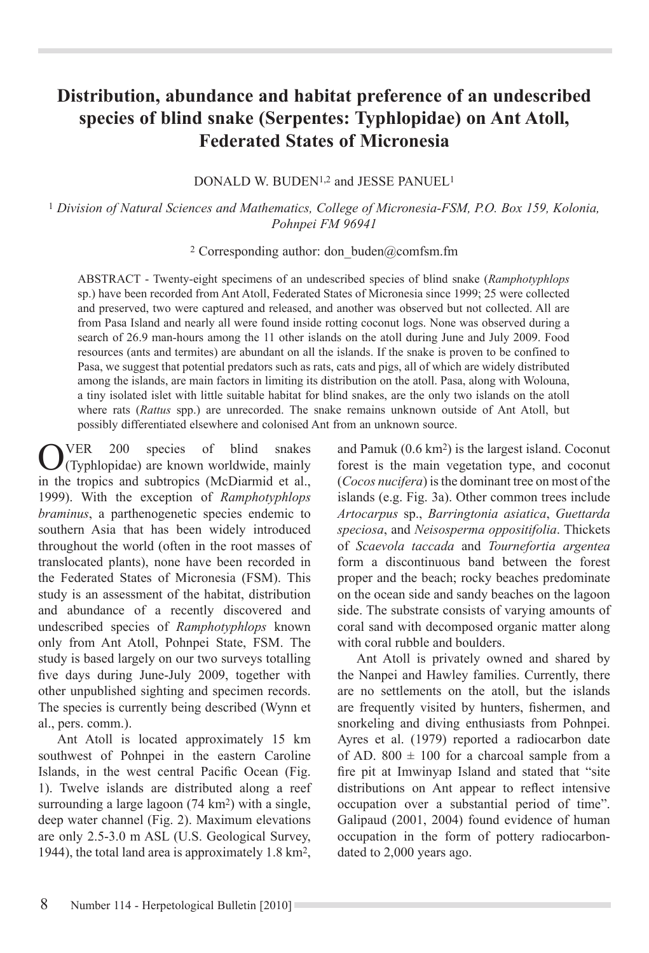# **Distribution, abundance and habitat preference of an undescribed species of blind snake (Serpentes: Typhlopidae) on Ant Atoll, Federated States of Micronesia**

DONALD W. BUDEN1,2 and JESSE PANUEL1

<sup>1</sup> *Division of Natural Sciences and Mathematics, College of Micronesia-FSM, P.O. Box 159, Kolonia, Pohnpei FM 96941*

<sup>2</sup> Corresponding author: don buden@comfsm.fm

ABSTRACT - Twenty-eight specimens of an undescribed species of blind snake (*Ramphotyphlops* sp.) have been recorded from Ant Atoll, Federated States of Micronesia since 1999; 25 were collected and preserved, two were captured and released, and another was observed but not collected. All are from Pasa Island and nearly all were found inside rotting coconut logs. None was observed during a search of 26.9 man-hours among the 11 other islands on the atoll during June and July 2009. Food resources (ants and termites) are abundant on all the islands. If the snake is proven to be confined to Pasa, we suggest that potential predators such as rats, cats and pigs, all of which are widely distributed among the islands, are main factors in limiting its distribution on the atoll. Pasa, along with Wolouna, a tiny isolated islet with little suitable habitat for blind snakes, are the only two islands on the atoll where rats (*Rattus* spp.) are unrecorded. The snake remains unknown outside of Ant Atoll, but possibly differentiated elsewhere and colonised Ant from an unknown source.

OVER 200 species of blind snakes<br>
(Typhlopidae) are known worldwide, mainly in the tropics and subtropics (McDiarmid et al., 1999). With the exception of *Ramphotyphlops braminus*, a parthenogenetic species endemic to southern Asia that has been widely introduced throughout the world (often in the root masses of translocated plants), none have been recorded in the Federated States of Micronesia (FSM). This study is an assessment of the habitat, distribution and abundance of a recently discovered and undescribed species of *Ramphotyphlops* known only from Ant Atoll, Pohnpei State, FSM. The study is based largely on our two surveys totalling five days during June-July 2009, together with other unpublished sighting and specimen records. The species is currently being described (Wynn et al., pers. comm.).

Ant Atoll is located approximately 15 km southwest of Pohnpei in the eastern Caroline Islands, in the west central Pacific Ocean (Fig. 1). Twelve islands are distributed along a reef surrounding a large lagoon (74 km<sup>2</sup>) with a single, deep water channel (Fig. 2). Maximum elevations are only 2.5-3.0 m ASL (U.S. Geological Survey, 1944), the total land area is approximately 1.8 km2,

and Pamuk (0.6 km2) is the largest island. Coconut forest is the main vegetation type, and coconut (*Cocos nucifera*) is the dominant tree on most of the islands (e.g. Fig. 3a). Other common trees include *Artocarpus* sp., *Barringtonia asiatica*, *Guettarda speciosa*, and *Neisosperma oppositifolia*. Thickets of *Scaevola taccada* and *Tournefortia argentea* form a discontinuous band between the forest proper and the beach; rocky beaches predominate on the ocean side and sandy beaches on the lagoon side. The substrate consists of varying amounts of coral sand with decomposed organic matter along with coral rubble and boulders.

Ant Atoll is privately owned and shared by the Nanpei and Hawley families. Currently, there are no settlements on the atoll, but the islands are frequently visited by hunters, fishermen, and snorkeling and diving enthusiasts from Pohnpei. Ayres et al. (1979) reported a radiocarbon date of AD.  $800 \pm 100$  for a charcoal sample from a fire pit at Imwinyap Island and stated that "site distributions on Ant appear to reflect intensive occupation over a substantial period of time". Galipaud (2001, 2004) found evidence of human occupation in the form of pottery radiocarbondated to 2,000 years ago.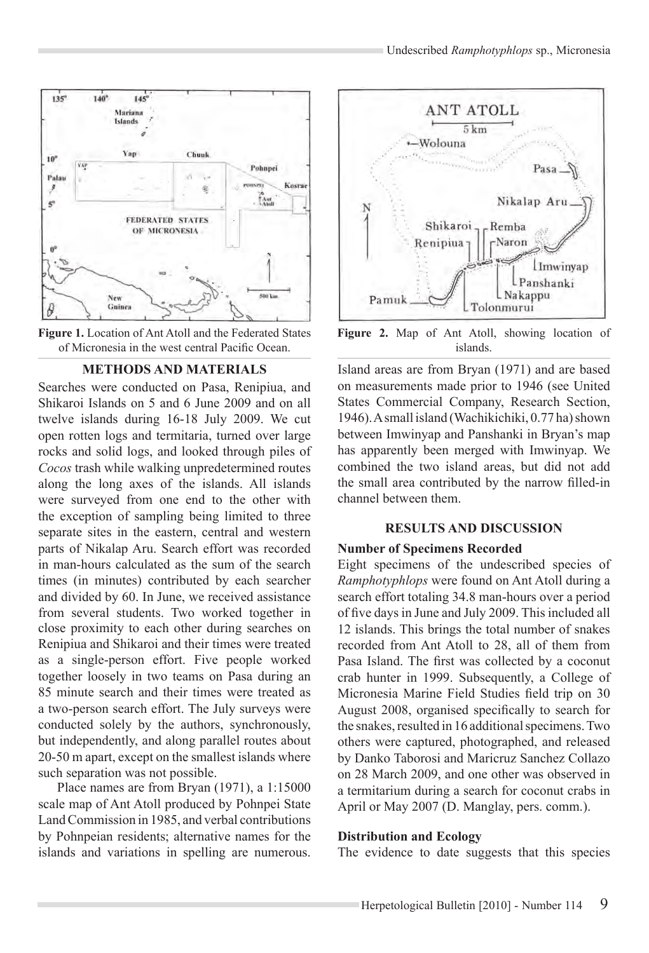



## **METHODS AND MATERIALS**

Searches were conducted on Pasa, Renipiua, and Shikaroi Islands on 5 and 6 June 2009 and on all twelve islands during 16-18 July 2009. We cut open rotten logs and termitaria, turned over large rocks and solid logs, and looked through piles of *Cocos* trash while walking unpredetermined routes along the long axes of the islands. All islands were surveyed from one end to the other with the exception of sampling being limited to three separate sites in the eastern, central and western parts of Nikalap Aru. Search effort was recorded in man-hours calculated as the sum of the search times (in minutes) contributed by each searcher and divided by 60. In June, we received assistance from several students. Two worked together in close proximity to each other during searches on Renipiua and Shikaroi and their times were treated as a single-person effort. Five people worked together loosely in two teams on Pasa during an 85 minute search and their times were treated as a two-person search effort. The July surveys were conducted solely by the authors, synchronously, but independently, and along parallel routes about 20-50 m apart, except on the smallest islands where such separation was not possible.

Place names are from Bryan (1971), a 1:15000 scale map of Ant Atoll produced by Pohnpei State Land Commission in 1985, and verbal contributions by Pohnpeian residents; alternative names for the islands and variations in spelling are numerous.



**Figure 2.** Map of Ant Atoll, showing location of islands.

Island areas are from Bryan (1971) and are based on measurements made prior to 1946 (see United States Commercial Company, Research Section, 1946). A small island (Wachikichiki, 0.77 ha) shown between Imwinyap and Panshanki in Bryan's map has apparently been merged with Imwinyap. We combined the two island areas, but did not add the small area contributed by the narrow filled-in channel between them.

#### **RESULTS AND DISCUSSION**

#### **Number of Specimens Recorded**

Eight specimens of the undescribed species of *Ramphotyphlops* were found on Ant Atoll during a search effort totaling 34.8 man-hours over a period of five days in June and July 2009. This included all 12 islands. This brings the total number of snakes recorded from Ant Atoll to 28, all of them from Pasa Island. The first was collected by a coconut crab hunter in 1999. Subsequently, a College of Micronesia Marine Field Studies field trip on 30 August 2008, organised specifically to search for the snakes, resulted in 16 additional specimens. Two others were captured, photographed, and released by Danko Taborosi and Maricruz Sanchez Collazo on 28 March 2009, and one other was observed in a termitarium during a search for coconut crabs in April or May 2007 (D. Manglay, pers. comm.).

## **Distribution and Ecology**

The evidence to date suggests that this species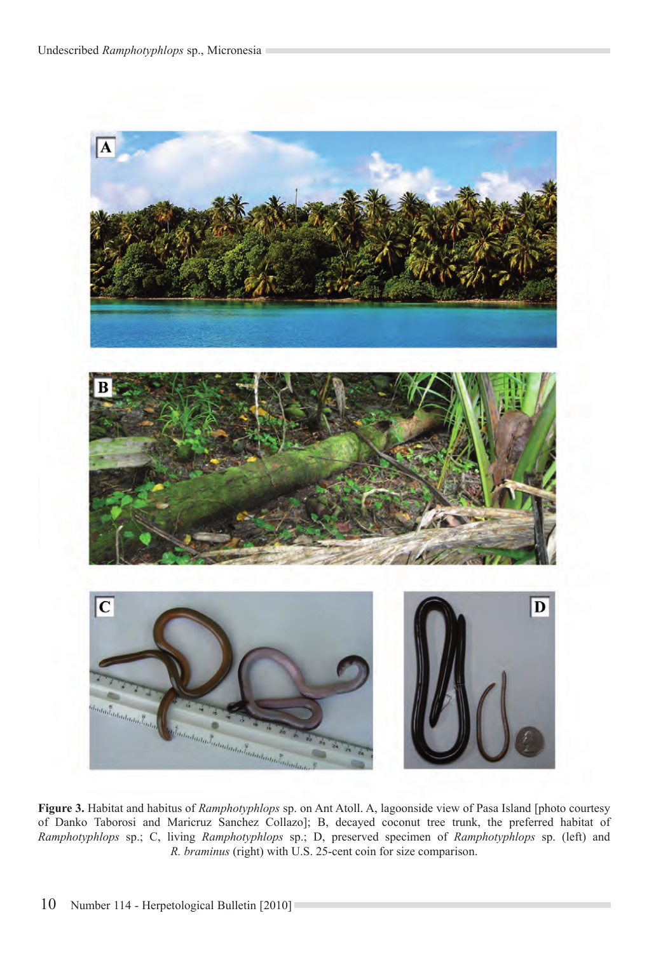

**Figure 3.** Habitat and habitus of *Ramphotyphlops* sp. on Ant Atoll. A, lagoonside view of Pasa Island [photo courtesy of Danko Taborosi and Maricruz Sanchez Collazo]; B, decayed coconut tree trunk, the preferred habitat of *Ramphotyphlops* sp.; C, living *Ramphotyphlops* sp.; D, preserved specimen of *Ramphotyphlops* sp. (left) and *R. braminus* (right) with U.S. 25-cent coin for size comparison.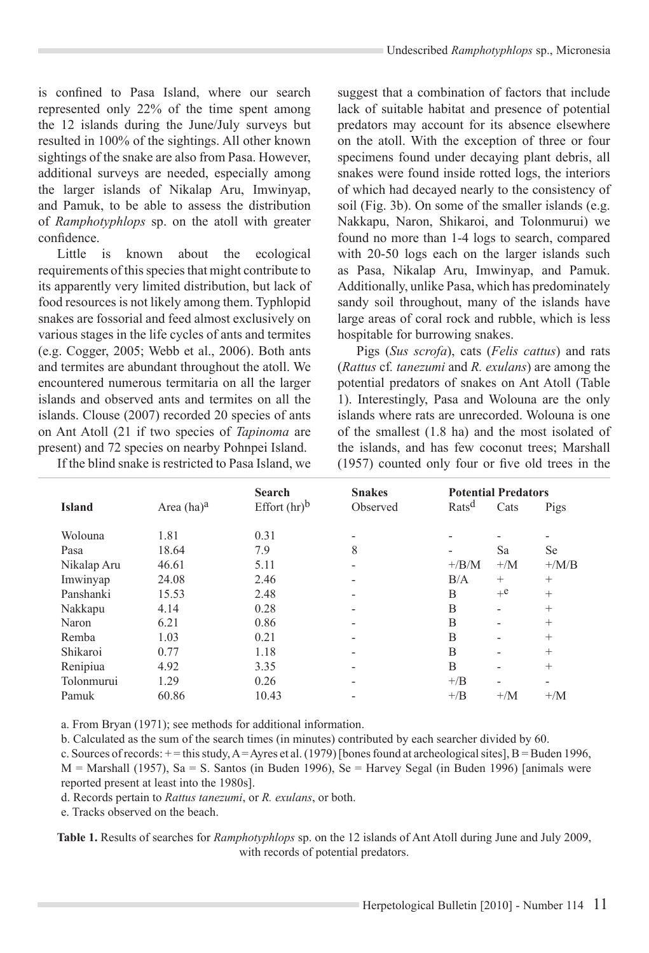is confined to Pasa Island, where our search represented only 22% of the time spent among the 12 islands during the June/July surveys but resulted in 100% of the sightings. All other known sightings of the snake are also from Pasa. However, additional surveys are needed, especially among the larger islands of Nikalap Aru, Imwinyap, and Pamuk, to be able to assess the distribution of *Ramphotyphlops* sp. on the atoll with greater confidence.

Little is known about the ecological requirements of this species that might contribute to its apparently very limited distribution, but lack of food resources is not likely among them. Typhlopid snakes are fossorial and feed almost exclusively on various stages in the life cycles of ants and termites (e.g. Cogger, 2005; Webb et al., 2006). Both ants and termites are abundant throughout the atoll. We encountered numerous termitaria on all the larger islands and observed ants and termites on all the islands. Clouse (2007) recorded 20 species of ants on Ant Atoll (21 if two species of *Tapinoma* are present) and 72 species on nearby Pohnpei Island.

If the blind snake is restricted to Pasa Island, we

suggest that a combination of factors that include lack of suitable habitat and presence of potential predators may account for its absence elsewhere on the atoll. With the exception of three or four specimens found under decaying plant debris, all snakes were found inside rotted logs, the interiors of which had decayed nearly to the consistency of soil (Fig. 3b). On some of the smaller islands (e.g. Nakkapu, Naron, Shikaroi, and Tolonmurui) we found no more than 1-4 logs to search, compared with 20-50 logs each on the larger islands such as Pasa, Nikalap Aru, Imwinyap, and Pamuk. Additionally, unlike Pasa, which has predominately sandy soil throughout, many of the islands have large areas of coral rock and rubble, which is less hospitable for burrowing snakes.

Pigs (*Sus scrofa*), cats (*Felis cattus*) and rats (*Rattus* cf*. tanezumi* and *R. exulans*) are among the potential predators of snakes on Ant Atoll (Table 1). Interestingly, Pasa and Wolouna are the only islands where rats are unrecorded. Wolouna is one of the smallest (1.8 ha) and the most isolated of the islands, and has few coconut trees; Marshall (1957) counted only four or five old trees in the

|               |               | <b>Search</b>   | <b>Snakes</b>                | <b>Potential Predators</b> |                          |                  |
|---------------|---------------|-----------------|------------------------------|----------------------------|--------------------------|------------------|
| <b>Island</b> | Area $(ha)^a$ | Effort $(hr)^b$ | Observed                     | Rats <sup>d</sup>          | Cats                     | Pigs             |
| Wolouna       | 1.81          | 0.31            | $\overline{\phantom{0}}$     |                            |                          |                  |
| Pasa          | 18.64         | 7.9             | 8                            |                            | Sa                       | <b>Se</b>        |
| Nikalap Aru   | 46.61         | 5.11            | $\qquad \qquad \blacksquare$ | $+/B/M$                    | $+/\mathrm{M}$           | $+/\mathrm{M/B}$ |
| Imwinyap      | 24.08         | 2.46            | $\qquad \qquad \blacksquare$ | B/A                        | $^{+}$                   | $+$              |
| Panshanki     | 15.53         | 2.48            | -                            | B                          | $+e$                     | $+$              |
| Nakkapu       | 4.14          | 0.28            | $\qquad \qquad \blacksquare$ | B                          | $\overline{\phantom{0}}$ | $^{+}$           |
| Naron         | 6.21          | 0.86            | -                            | B                          | -                        | $+$              |
| Remba         | 1.03          | 0.21            | $\overline{\phantom{0}}$     | B                          | $\overline{\phantom{0}}$ | $+$              |
| Shikaroi      | 0.77          | 1.18            | $\overline{\phantom{0}}$     | B                          | $\overline{\phantom{0}}$ | $+$              |
| Renipiua      | 4.92          | 3.35            | $\overline{\phantom{0}}$     | B                          | $\overline{\phantom{0}}$ | $+$              |
| Tolonmurui    | 1.29          | 0.26            | $\qquad \qquad \blacksquare$ | $+$ /B                     | -                        | ٠                |
| Pamuk         | 60.86         | 10.43           | $\qquad \qquad \blacksquare$ | $+$ / $B$                  | $+/M$                    | $+/M$            |

a. From Bryan (1971); see methods for additional information.

b. Calculated as the sum of the search times (in minutes) contributed by each searcher divided by 60.

c. Sources of records:  $+$  = this study, A = Ayres et al. (1979) [bones found at archeological sites], B = Buden 1996,  $M =$  Marshall (1957), Sa = S. Santos (in Buden 1996), Se = Harvey Segal (in Buden 1996) [animals were reported present at least into the 1980s].

d. Records pertain to *Rattus tanezumi*, or *R. exulans*, or both.

e. Tracks observed on the beach.

**Table 1.** Results of searches for *Ramphotyphlops* sp. on the 12 islands of Ant Atoll during June and July 2009, with records of potential predators.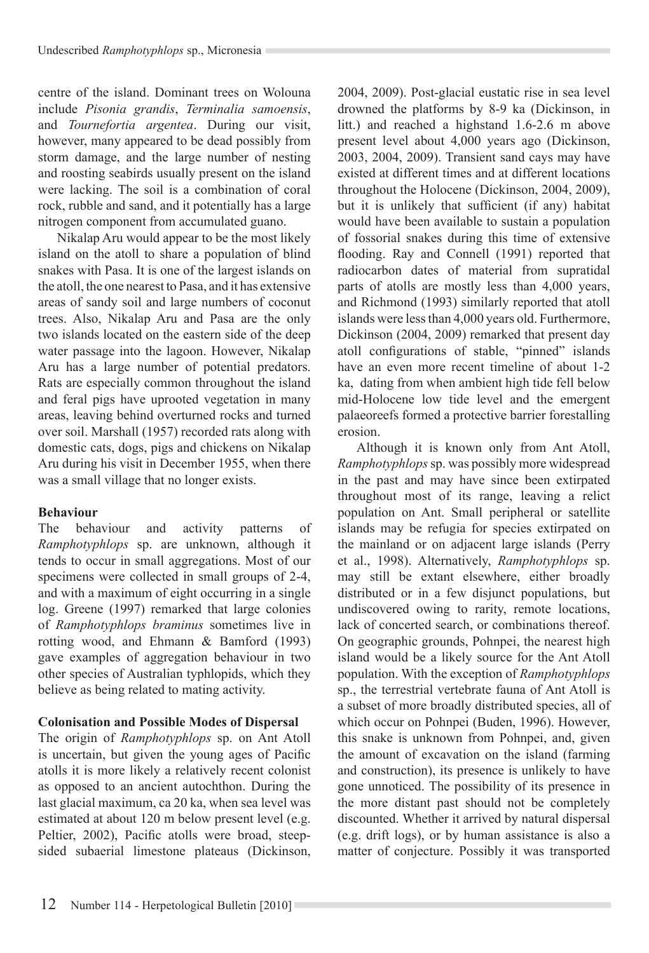centre of the island. Dominant trees on Wolouna include *Pisonia grandis*, *Terminalia samoensis*, and *Tournefortia argentea*. During our visit, however, many appeared to be dead possibly from storm damage, and the large number of nesting and roosting seabirds usually present on the island were lacking. The soil is a combination of coral rock, rubble and sand, and it potentially has a large nitrogen component from accumulated guano.

Nikalap Aru would appear to be the most likely island on the atoll to share a population of blind snakes with Pasa. It is one of the largest islands on the atoll, the one nearest to Pasa, and it has extensive areas of sandy soil and large numbers of coconut trees. Also, Nikalap Aru and Pasa are the only two islands located on the eastern side of the deep water passage into the lagoon. However, Nikalap Aru has a large number of potential predators. Rats are especially common throughout the island and feral pigs have uprooted vegetation in many areas, leaving behind overturned rocks and turned over soil. Marshall (1957) recorded rats along with domestic cats, dogs, pigs and chickens on Nikalap Aru during his visit in December 1955, when there was a small village that no longer exists.

## **Behaviour**

The behaviour and activity patterns of *Ramphotyphlops* sp. are unknown, although it tends to occur in small aggregations. Most of our specimens were collected in small groups of 2-4, and with a maximum of eight occurring in a single log. Greene (1997) remarked that large colonies of *Ramphotyphlops braminus* sometimes live in rotting wood, and Ehmann & Bamford (1993) gave examples of aggregation behaviour in two other species of Australian typhlopids, which they believe as being related to mating activity.

# **Colonisation and Possible Modes of Dispersal**

The origin of *Ramphotyphlops* sp. on Ant Atoll is uncertain, but given the young ages of Pacific atolls it is more likely a relatively recent colonist as opposed to an ancient autochthon. During the last glacial maximum, ca 20 ka, when sea level was estimated at about 120 m below present level (e.g. Peltier, 2002), Pacific atolls were broad, steepsided subaerial limestone plateaus (Dickinson, 2004, 2009). Post-glacial eustatic rise in sea level drowned the platforms by 8-9 ka (Dickinson, in litt.) and reached a highstand 1.6-2.6 m above present level about 4,000 years ago (Dickinson, 2003, 2004, 2009). Transient sand cays may have existed at different times and at different locations throughout the Holocene (Dickinson, 2004, 2009), but it is unlikely that sufficient (if any) habitat would have been available to sustain a population of fossorial snakes during this time of extensive flooding. Ray and Connell (1991) reported that radiocarbon dates of material from supratidal parts of atolls are mostly less than 4,000 years, and Richmond (1993) similarly reported that atoll islands were less than 4,000 years old. Furthermore, Dickinson (2004, 2009) remarked that present day atoll configurations of stable, "pinned" islands have an even more recent timeline of about 1-2 ka, dating from when ambient high tide fell below mid-Holocene low tide level and the emergent palaeoreefs formed a protective barrier forestalling erosion.

Although it is known only from Ant Atoll, *Ramphotyphlops* sp. was possibly more widespread in the past and may have since been extirpated throughout most of its range, leaving a relict population on Ant. Small peripheral or satellite islands may be refugia for species extirpated on the mainland or on adjacent large islands (Perry et al., 1998). Alternatively, *Ramphotyphlops* sp. may still be extant elsewhere, either broadly distributed or in a few disjunct populations, but undiscovered owing to rarity, remote locations, lack of concerted search, or combinations thereof. On geographic grounds, Pohnpei, the nearest high island would be a likely source for the Ant Atoll population. With the exception of *Ramphotyphlops* sp., the terrestrial vertebrate fauna of Ant Atoll is a subset of more broadly distributed species, all of which occur on Pohnpei (Buden, 1996). However, this snake is unknown from Pohnpei, and, given the amount of excavation on the island (farming and construction), its presence is unlikely to have gone unnoticed. The possibility of its presence in the more distant past should not be completely discounted. Whether it arrived by natural dispersal (e.g. drift logs), or by human assistance is also a matter of conjecture. Possibly it was transported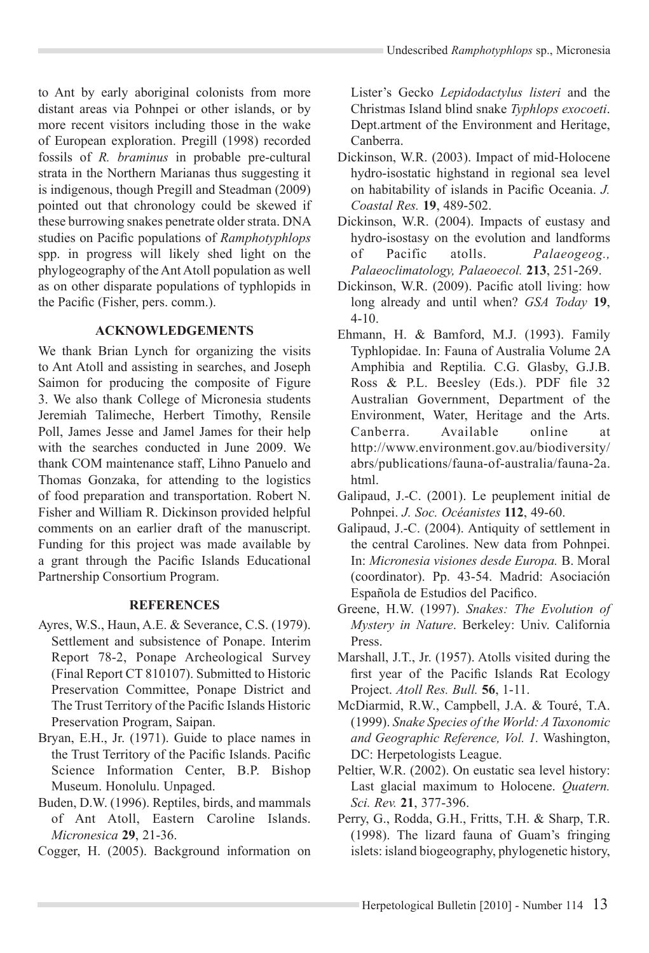to Ant by early aboriginal colonists from more distant areas via Pohnpei or other islands, or by more recent visitors including those in the wake of European exploration. Pregill (1998) recorded fossils of *R. braminus* in probable pre-cultural strata in the Northern Marianas thus suggesting it is indigenous, though Pregill and Steadman (2009) pointed out that chronology could be skewed if these burrowing snakes penetrate older strata. DNA studies on Pacific populations of *Ramphotyphlops* spp. in progress will likely shed light on the phylogeography of the Ant Atoll population as well as on other disparate populations of typhlopids in the Pacific (Fisher, pers. comm.).

## **ACKNOWLEDGEMENTS**

We thank Brian Lynch for organizing the visits to Ant Atoll and assisting in searches, and Joseph Saimon for producing the composite of Figure 3. We also thank College of Micronesia students Jeremiah Talimeche, Herbert Timothy, Rensile Poll, James Jesse and Jamel James for their help with the searches conducted in June 2009. We thank COM maintenance staff, Lihno Panuelo and Thomas Gonzaka, for attending to the logistics of food preparation and transportation. Robert N. Fisher and William R. Dickinson provided helpful comments on an earlier draft of the manuscript. Funding for this project was made available by a grant through the Pacific Islands Educational Partnership Consortium Program.

## **REFERENCES**

- Ayres, W.S., Haun, A.E. & Severance, C.S. (1979). Settlement and subsistence of Ponape. Interim Report 78-2, Ponape Archeological Survey (Final Report CT 810107). Submitted to Historic Preservation Committee, Ponape District and The Trust Territory of the Pacific Islands Historic Preservation Program, Saipan.
- Bryan, E.H., Jr. (1971). Guide to place names in the Trust Territory of the Pacific Islands. Pacific Science Information Center, B.P. Bishop Museum. Honolulu. Unpaged.
- Buden, D.W. (1996). Reptiles, birds, and mammals of Ant Atoll, Eastern Caroline Islands. *Micronesica* **29**, 21-36.

Cogger, H. (2005). Background information on

Lister's Gecko *Lepidodactylus listeri* and the Christmas Island blind snake *Typhlops exocoeti*. Dept.artment of the Environment and Heritage, Canberra.

- Dickinson, W.R. (2003). Impact of mid-Holocene hydro-isostatic highstand in regional sea level on habitability of islands in Pacific Oceania. *J. Coastal Res.* **19**, 489-502.
- Dickinson, W.R. (2004). Impacts of eustasy and hydro-isostasy on the evolution and landforms of Pacific atolls. *Palaeogeog., Palaeoclimatology, Palaeoecol.* **213**, 251-269.
- Dickinson, W.R. (2009). Pacific atoll living: how long already and until when? *GSA Today* **19**, 4-10.
- Ehmann, H. & Bamford, M.J. (1993). Family Typhlopidae. In: Fauna of Australia Volume 2A Amphibia and Reptilia. C.G. Glasby, G.J.B. Ross & P.L. Beesley (Eds.). PDF file 32 Australian Government, Department of the Environment, Water, Heritage and the Arts. Canberra. Available online at http://www.environment.gov.au/biodiversity/ abrs/publications/fauna-of-australia/fauna-2a. html.
- Galipaud, J.-C. (2001). Le peuplement initial de Pohnpei. *J. Soc. Océanistes* **112**, 49-60.
- Galipaud, J.-C. (2004). Antiquity of settlement in the central Carolines. New data from Pohnpei. In: *Micronesia visiones desde Europa.* B. Moral (coordinator). Pp. 43-54. Madrid: Asociación Española de Estudios del Pacifico.
- Greene, H.W. (1997). *Snakes: The Evolution of Mystery in Nature*. Berkeley: Univ. California Press.
- Marshall, J.T., Jr. (1957). Atolls visited during the first year of the Pacific Islands Rat Ecology Project. *Atoll Res. Bull.* **56**, 1-11.
- McDiarmid, R.W., Campbell, J.A. & Touré, T.A. (1999). *Snake Species of the World: A Taxonomic and Geographic Reference, Vol. 1.* Washington, DC: Herpetologists League.
- Peltier, W.R. (2002). On eustatic sea level history: Last glacial maximum to Holocene. *Quatern. Sci. Rev.* **21**, 377-396.
- Perry, G., Rodda, G.H., Fritts, T.H. & Sharp, T.R. (1998). The lizard fauna of Guam's fringing islets: island biogeography, phylogenetic history,